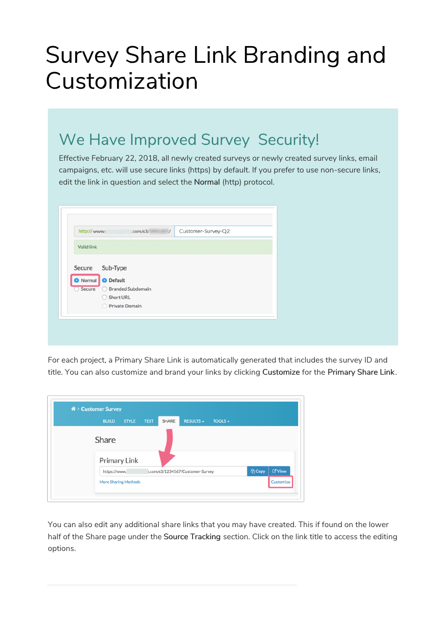# Survey Share Link Branding and Customization

# We Have Improved Survey Security!

Effective February 22, 2018, all newly created surveys or newly created survey links, email campaigns, etc. will use secure links (https) by default. If you prefer to use non-secure links, edit the link in question and select the Normal (http) protocol.

| http://www.       | $\overline{I}$<br>.com/s $3/$ | Customer-Survey-Q2 |
|-------------------|-------------------------------|--------------------|
| <b>Valid link</b> |                               |                    |
|                   |                               |                    |
|                   | Secure Sub-Type               |                    |
| Normal            | <b>O</b> Default              |                    |
| Secure            | <b>Branded Subdomain</b>      |                    |
|                   | Short URL                     |                    |
|                   | Private Domain                |                    |

For each project, a Primary Share Link is automatically generated that includes the survey ID and title. You can also customize and brand your links by clicking Customize for the Primary Share Link.

| 备 > Customer Survey         |              |             |       |                                  |              |                      |                      |
|-----------------------------|--------------|-------------|-------|----------------------------------|--------------|----------------------|----------------------|
| <b>BUILD</b>                | <b>STYLE</b> | <b>TEST</b> | SHARE | <b>RESULTS -</b>                 | TOOLS $\sim$ |                      |                      |
| Share                       |              |             |       |                                  |              |                      |                      |
| Primary Link                |              |             |       |                                  |              |                      |                      |
| https://www.                |              |             |       | ).com/s3/1234567/Customer-Survey |              | <sup>(2</sup> ] Copy | <b><i>C</i></b> View |
| <b>More Sharing Methods</b> |              |             |       |                                  |              |                      | Customize            |

You can also edit any additional share links that you may have created. This if found on the lower half of the Share page under the Source Tracking section. Click on the link title to access the editing options.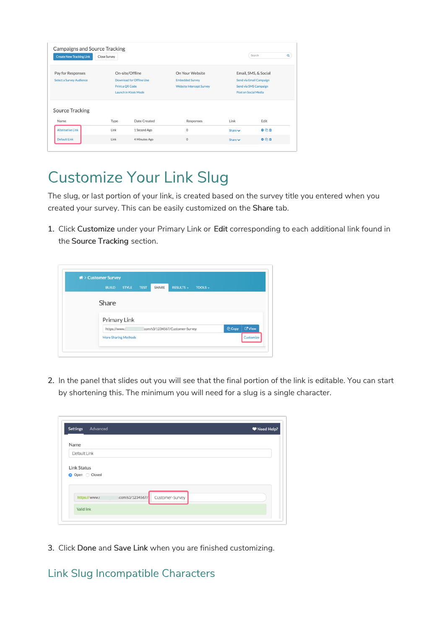| <b>Campaigns and Source Tracking</b><br><b>Create New Tracking Link</b> | Close Survey    |                                                                            |                                                                              |                      | Search<br>$\alpha$                                                       |
|-------------------------------------------------------------------------|-----------------|----------------------------------------------------------------------------|------------------------------------------------------------------------------|----------------------|--------------------------------------------------------------------------|
| Pay for Responses<br><b>Select a Survey Audience</b>                    | Print a QR Code | On-site/Offline<br>Download for Offline Use<br><b>Launch in Kiosk Mode</b> | On Your Website<br><b>Embedded Survey</b><br><b>Website Intercept Survey</b> | Post on Social Media | Email, SMS, & Social<br>Send via Email Campaign<br>Send via SMS Campaign |
| <b>Source Tracking</b><br>Name                                          | Type            | Date Created                                                               | Responses                                                                    | Link                 | Edit                                                                     |
| <b>Alternative Link</b>                                                 | Link            | 1 Second Ago                                                               | $\circ$                                                                      | Share $\vee$         | 000                                                                      |
| <b>Default Link</b>                                                     | Link            | 4 Minutes Ago                                                              | $\circ$                                                                      | Share $\vee$         | ●名章                                                                      |

# Customize Your Link Slug

The slug, or last portion of your link, is created based on the survey title you entered when you created your survey. This can be easily customized on the Share tab.

1. Click Customize under your Primary Link or Edit corresponding to each additional link found in the Source Tracking section.

| <b>BUILD</b>                | <b>STYLE</b> | <b>TEST</b> | SHARE | <b>RESULTS -</b>               | TOOLS - |             |           |
|-----------------------------|--------------|-------------|-------|--------------------------------|---------|-------------|-----------|
|                             |              |             |       |                                |         |             |           |
| Share                       |              |             |       |                                |         |             |           |
| Primary Link                |              |             |       |                                |         |             |           |
| https://www.                |              |             |       | com/s3/1234567/Customer-Survey |         | <b>CODY</b> | $C$ View  |
| <b>More Sharing Methods</b> |              |             |       |                                |         |             | Customize |

2. In the panel that slides out you will see that the final portion of the link is editable. You can start by shortening this. The minimum you will need for a slug is a single character.

| Name               |                                    |  |
|--------------------|------------------------------------|--|
| Default Link       |                                    |  |
| <b>Link Status</b> |                                    |  |
|                    |                                    |  |
| O Open C Closed    |                                    |  |
|                    |                                    |  |
| https://www.s      | com/s3/1234567/<br>Customer-Survey |  |

3. Click Done and Save Link when you are finished customizing.

#### Link Slug Incompatible Characters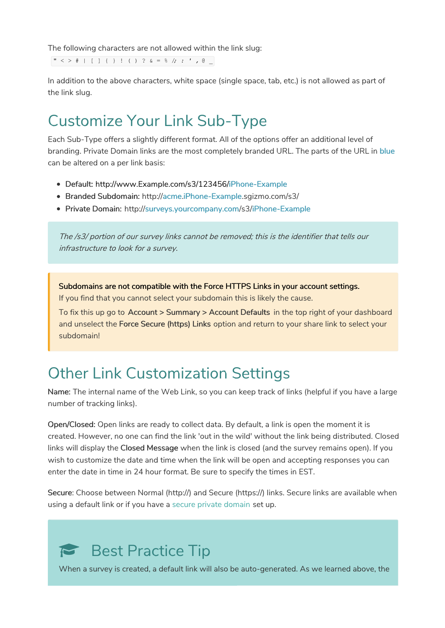The following characters are not allowed within the link slug:

" < > # | [ ] { } ! ( ) ? & = % /*; : ' ,* @ \_

In addition to the above characters, white space (single space, tab, etc.) is not allowed as part of the link slug.

### Customize Your Link Sub-Type

Each Sub-Type offers a slightly different format. All of the options offer an additional level of branding. Private Domain links are the most completely branded URL. The parts of the URL in blue can be altered on a per link basis:

- Default: http://www.Example.com/s3/123456/iPhone-Example
- Branded Subdomain: http://acme.iPhone-Example.sgizmo.com/s3/
- Private Domain: http://surveys.yourcompany.com/s3/iPhone-Example

The /s3/ portion of our survey links cannot be removed; this is the identifier that tells our infrastructure to look for <sup>a</sup> survey.

Subdomains are not compatible with the Force HTTPS Links in your account settings. If you find that you cannot select your subdomain this is likely the cause.

To fix this up go to Account > Summary > Account Defaults in the top right of your dashboard and unselect the Force Secure (https) Links option and return to your share link to select your subdomain!

#### Other Link Customization Settings

Name: The internal name of the Web Link, so you can keep track of links (helpful if you have a large number of tracking links).

Open/Closed: Open links are ready to collect data. By default, a link is open the moment it is created. However, no one can find the link 'out in the wild' without the link being distributed. Closed links will display the Closed Message when the link is closed (and the survey remains open). If you wish to customize the date and time when the link will be open and accepting responses you can enter the date in time in 24 hour format. Be sure to specify the times in EST.

Secure: Choose between Normal (http://) and Secure (https://) links. Secure links are available when using a default link or if you have a secure private domain set up.

# Best Practice Tip

When a survey is created, a default link will also be auto-generated. As we learned above, the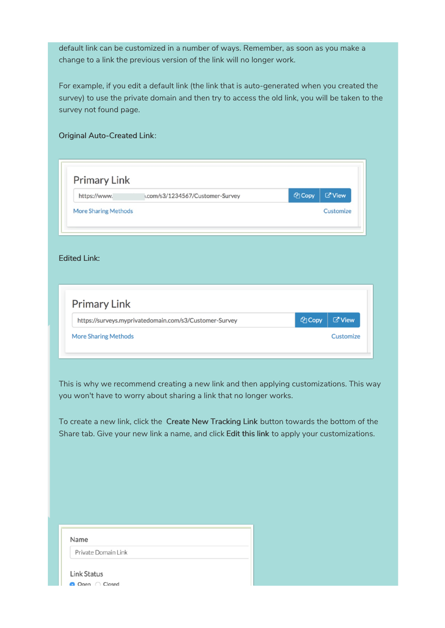default link can be customized in a number of ways. Remember, as soon as you make a change to a link the previous version of the link will no longer work.

For example, if you edit a default link (the link that is auto-generated when you created the survey) to use the private domain and then try to access the old link, you will be taken to the survey not found page.

Original Auto-Created Link:

| https://www.                | .com/s3/1234567/Customer-Survey                        | <b><i><u>A</u></i></b> Copy | <b><i>C</i></b> View |
|-----------------------------|--------------------------------------------------------|-----------------------------|----------------------|
| <b>More Sharing Methods</b> |                                                        |                             | Customize            |
|                             |                                                        |                             |                      |
|                             |                                                        |                             |                      |
|                             |                                                        |                             |                      |
|                             |                                                        |                             |                      |
|                             |                                                        |                             |                      |
| <b>Edited Link:</b>         |                                                        |                             |                      |
|                             |                                                        |                             |                      |
|                             |                                                        |                             |                      |
| <b>Primary Link</b>         | https://surveys.myprivatedomain.com/s3/Customer-Survey | <b><i><u>A</u></i></b> Copy | <b>ご View</b>        |

This is why we recommend creating a new link and then applying customizations. This way you won't have to worry about sharing a link that no longer works.

To create a new link, click the Create New Tracking Link button towards the bottom of the Share tab. Give your new link a name, and click Edit this link to apply your customizations.

| Name                |  |
|---------------------|--|
| Private Domain Link |  |
| <b>Link Status</b>  |  |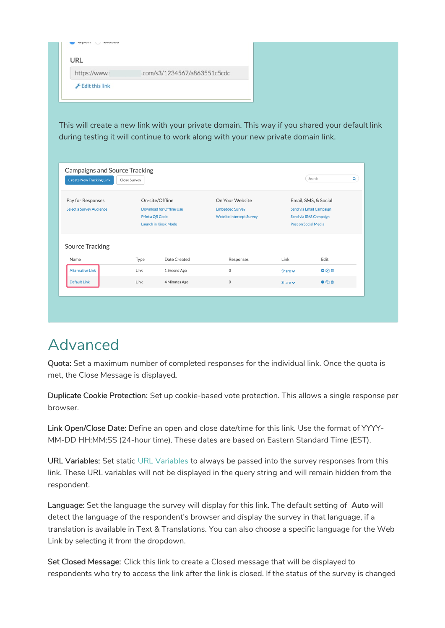| https://www. | .com/s3/1234567/a863551c5cdc |
|--------------|------------------------------|
|--------------|------------------------------|

This will create a new link with your private domain. This way if you shared your default link during testing it will continue to work along with your new private domain link.

|                                                      | Close Survey    |                                                                                   |                                                                              |                             | $\alpha$                                                                 |
|------------------------------------------------------|-----------------|-----------------------------------------------------------------------------------|------------------------------------------------------------------------------|-----------------------------|--------------------------------------------------------------------------|
| Pay for Responses<br><b>Select a Survey Audience</b> | Print a QR Code | On-site/Offline<br><b>Download for Offline Use</b><br><b>Launch in Kiosk Mode</b> | On Your Website<br><b>Embedded Survey</b><br><b>Website Intercept Survey</b> | <b>Post on Social Media</b> | Email, SMS, & Social<br>Send via Email Campaign<br>Send via SMS Campaign |
| Source Tracking<br>Name                              | Type            | Date Created                                                                      | Responses                                                                    | Link                        | Edit                                                                     |
| <b>Alternative Link</b>                              | Link            | 1 Second Ago                                                                      | $\circ$                                                                      | Share $\vee$                | ●名曲                                                                      |
|                                                      | Link            | 4 Minutes Ago                                                                     | $\circ$                                                                      | Share $\vee$                | OCD                                                                      |

# Advanced

Quota: Set a maximum number of completed responses for the individual link. Once the quota is met, the Close Message is displayed.

Duplicate Cookie Protection: Set up cookie-based vote protection. This allows a single response per browser.

Link Open/Close Date: Define an open and close date/time for this link. Use the format of YYYY-MM-DD HH:MM:SS (24-hour time). These dates are based on Eastern Standard Time (EST).

URL Variables: Set static URL Variables to always be passed into the survey responses from this link. These URL variables will not be displayed in the query string and will remain hidden from the respondent.

Language: Set the language the survey will display for this link. The default setting of Auto will detect the language of the respondent's browser and display the survey in that language, if a translation is available in Text & Translations. You can also choose a specific language for the Web Link by selecting it from the dropdown.

Set Closed Message: Click this link to create a Closed message that will be displayed to respondents who try to access the link after the link is closed. If the status of the survey is changed